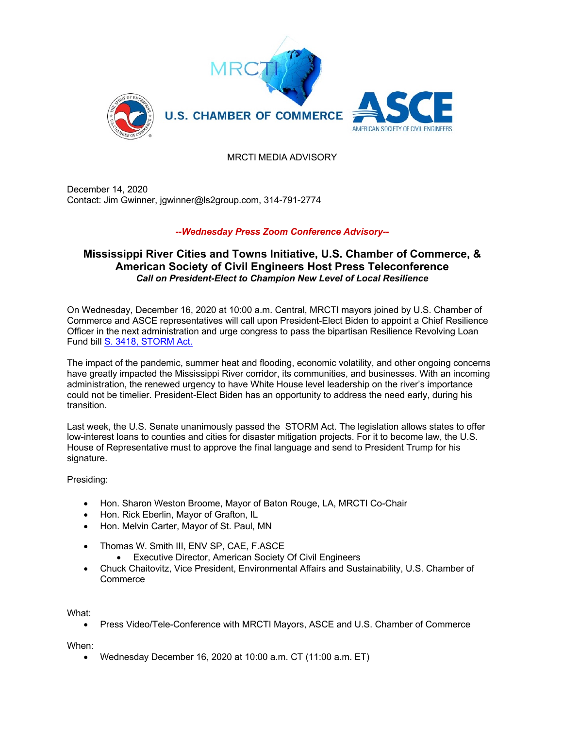

## MRCTI MEDIA ADVISORY

December 14, 2020 Contact: Jim Gwinner, jgwinner@ls2group.com, 314-791-2774

## *--Wednesday Press Zoom Conference Advisory--*

## **Mississippi River Cities and Towns Initiative, U.S. Chamber of Commerce, & American Society of Civil Engineers Host Press Teleconference** *Call on President-Elect to Champion New Level of Local Resilience*

On Wednesday, December 16, 2020 at 10:00 a.m. Central, MRCTI mayors joined by U.S. Chamber of Commerce and ASCE representatives will call upon President-Elect Biden to appoint a Chief Resilience Officer in the next administration and urge congress to pass the bipartisan Resilience Revolving Loan Fund bill S. 3418, STORM Act.

The impact of the pandemic, summer heat and flooding, economic volatility, and other ongoing concerns have greatly impacted the Mississippi River corridor, its communities, and businesses. With an incoming administration, the renewed urgency to have White House level leadership on the river's importance could not be timelier. President-Elect Biden has an opportunity to address the need early, during his transition.

Last week, the U.S. Senate unanimously passed the STORM Act. The legislation allows states to offer low-interest loans to counties and cities for disaster mitigation projects. For it to become law, the U.S. House of Representative must to approve the final language and send to President Trump for his signature.

Presiding:

- Hon. Sharon Weston Broome, Mayor of Baton Rouge, LA, MRCTI Co-Chair
- Hon. Rick Eberlin, Mayor of Grafton, IL
- Hon. Melvin Carter, Mayor of St. Paul, MN
- Thomas W. Smith III, ENV SP, CAE, F.ASCE
	- Executive Director, American Society Of Civil Engineers
- Chuck Chaitovitz, Vice President, Environmental Affairs and Sustainability, U.S. Chamber of **Commerce**

What:

• Press Video/Tele-Conference with MRCTI Mayors, ASCE and U.S. Chamber of Commerce

When:

• Wednesday December 16, 2020 at 10:00 a.m. CT (11:00 a.m. ET)